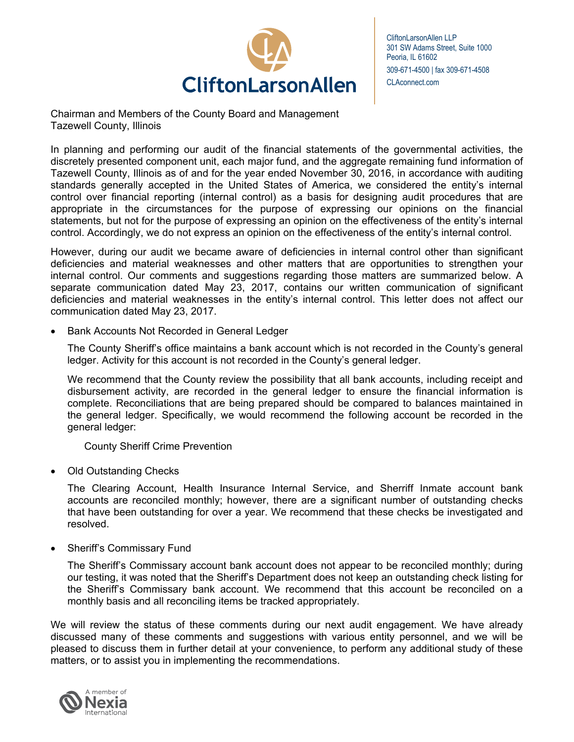

CliftonLarsonAllen LLP 301 SW Adams Street, Suite 1000 Peoria, IL 61602 309-671-4500 | fax 309-671-4508 CLAconnect.com

Chairman and Members of the County Board and Management Tazewell County, Illinois

In planning and performing our audit of the financial statements of the governmental activities, the discretely presented component unit, each major fund, and the aggregate remaining fund information of Tazewell County, Illinois as of and for the year ended November 30, 2016, in accordance with auditing standards generally accepted in the United States of America, we considered the entity's internal control over financial reporting (internal control) as a basis for designing audit procedures that are appropriate in the circumstances for the purpose of expressing our opinions on the financial statements, but not for the purpose of expressing an opinion on the effectiveness of the entity's internal control. Accordingly, we do not express an opinion on the effectiveness of the entity's internal control.

However, during our audit we became aware of deficiencies in internal control other than significant deficiencies and material weaknesses and other matters that are opportunities to strengthen your internal control. Our comments and suggestions regarding those matters are summarized below. A separate communication dated May 23, 2017, contains our written communication of significant deficiencies and material weaknesses in the entity's internal control. This letter does not affect our communication dated May 23, 2017.

Bank Accounts Not Recorded in General Ledger

The County Sheriff's office maintains a bank account which is not recorded in the County's general ledger. Activity for this account is not recorded in the County's general ledger.

We recommend that the County review the possibility that all bank accounts, including receipt and disbursement activity, are recorded in the general ledger to ensure the financial information is complete. Reconciliations that are being prepared should be compared to balances maintained in the general ledger. Specifically, we would recommend the following account be recorded in the general ledger:

County Sheriff Crime Prevention

• Old Outstanding Checks

The Clearing Account, Health Insurance Internal Service, and Sherriff Inmate account bank accounts are reconciled monthly; however, there are a significant number of outstanding checks that have been outstanding for over a year. We recommend that these checks be investigated and resolved.

• Sheriff's Commissary Fund

The Sheriff's Commissary account bank account does not appear to be reconciled monthly; during our testing, it was noted that the Sheriff's Department does not keep an outstanding check listing for the Sheriff's Commissary bank account. We recommend that this account be reconciled on a monthly basis and all reconciling items be tracked appropriately.

We will review the status of these comments during our next audit engagement. We have already discussed many of these comments and suggestions with various entity personnel, and we will be pleased to discuss them in further detail at your convenience, to perform any additional study of these matters, or to assist you in implementing the recommendations.